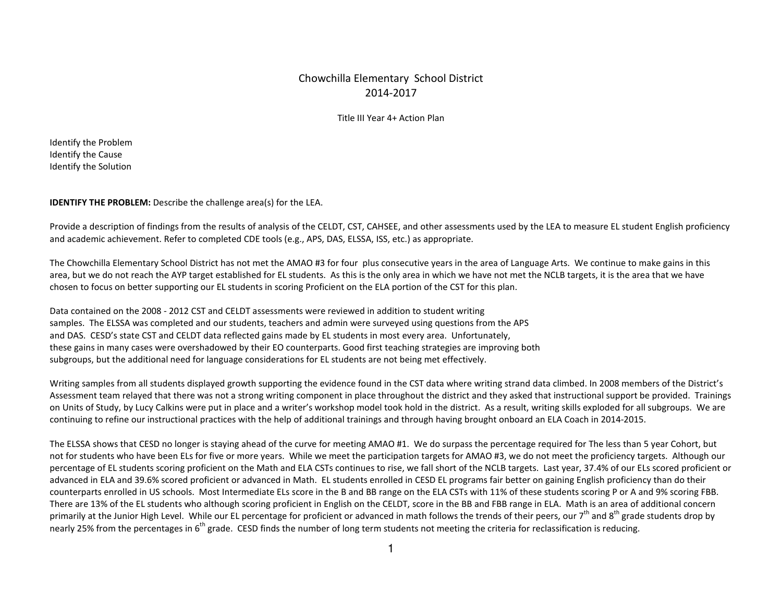## Chowchilla Elementary School District 2014-2017

Title III Year 4+ Action Plan

Identify the Problem Identify the Cause Identify the Solution

**IDENTIFY THE PROBLEM:** Describe the challenge area(s) for the LEA.

Provide a description of findings from the results of analysis of the CELDT, CST, CAHSEE, and other assessments used by the LEA to measure EL student English proficiency and academic achievement. Refer to completed CDE tools (e.g., APS, DAS, ELSSA, ISS, etc.) as appropriate.

The Chowchilla Elementary School District has not met the AMAO #3 for four plus consecutive years in the area of Language Arts. We continue to make gains in this area, but we do not reach the AYP target established for EL students. As this is the only area in which we have not met the NCLB targets, it is the area that we have chosen to focus on better supporting our EL students in scoring Proficient on the ELA portion of the CST for this plan.

Data contained on the 2008 - 2012 CST and CELDT assessments were reviewed in addition to student writing samples. The ELSSA was completed and our students, teachers and admin were surveyed using questions from the APS and DAS. CESD's state CST and CELDT data reflected gains made by EL students in most every area. Unfortunately, these gains in many cases were overshadowed by their EO counterparts. Good first teaching strategies are improving both subgroups, but the additional need for language considerations for EL students are not being met effectively.

Writing samples from all students displayed growth supporting the evidence found in the CST data where writing strand data climbed. In 2008 members of the District's Assessment team relayed that there was not a strong writing component in place throughout the district and they asked that instructional support be provided. Trainings on Units of Study, by Lucy Calkins were put in place and a writer's workshop model took hold in the district. As a result, writing skills exploded for all subgroups. We are continuing to refine our instructional practices with the help of additional trainings and through having brought onboard an ELA Coach in 2014-2015.

The ELSSA shows that CESD no longer is staying ahead of the curve for meeting AMAO #1. We do surpass the percentage required for The less than 5 year Cohort, but not for students who have been ELs for five or more years. While we meet the participation targets for AMAO #3, we do not meet the proficiency targets. Although our percentage of EL students scoring proficient on the Math and ELA CSTs continues to rise, we fall short of the NCLB targets. Last year, 37.4% of our ELs scored proficient or advanced in ELA and 39.6% scored proficient or advanced in Math. EL students enrolled in CESD EL programs fair better on gaining English proficiency than do their counterparts enrolled in US schools. Most Intermediate ELs score in the B and BB range on the ELA CSTs with 11% of these students scoring P or A and 9% scoring FBB. There are 13% of the EL students who although scoring proficient in English on the CELDT, score in the BB and FBB range in ELA. Math is an area of additional concern primarily at the Junior High Level. While our EL percentage for proficient or advanced in math follows the trends of their peers, our 7<sup>th</sup> and 8<sup>th</sup> grade students drop by nearly 25% from the percentages in  $6<sup>th</sup>$  grade. CESD finds the number of long term students not meeting the criteria for reclassification is reducing.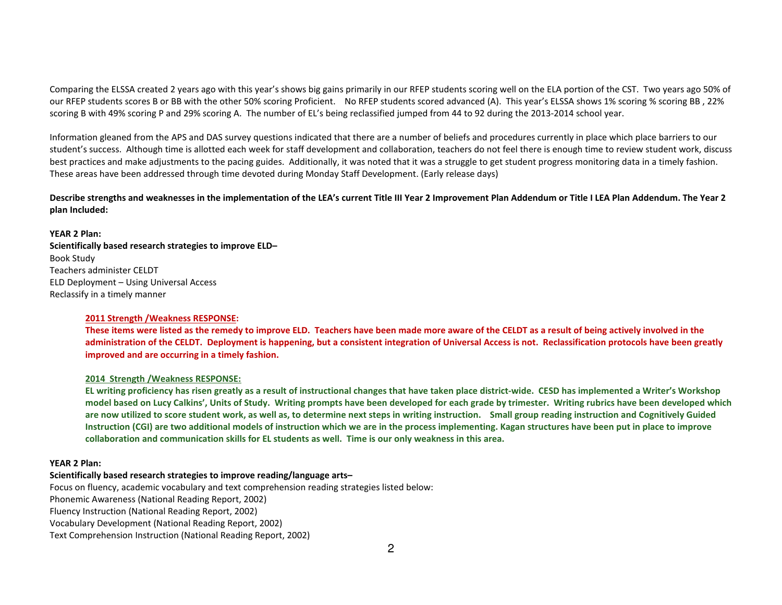Comparing the ELSSA created 2 years ago with this year's shows big gains primarily in our RFEP students scoring well on the ELA portion of the CST. Two years ago 50% of our RFEP students scores B or BB with the other 50% scoring Proficient. No RFEP students scored advanced (A). This year's ELSSA shows 1% scoring % scoring BB , 22% scoring B with 49% scoring P and 29% scoring A. The number of EL's being reclassified jumped from 44 to 92 during the 2013-2014 school year.

Information gleaned from the APS and DAS survey questions indicated that there are a number of beliefs and procedures currently in place which place barriers to our student's success. Although time is allotted each week for staff development and collaboration, teachers do not feel there is enough time to review student work, discuss best practices and make adjustments to the pacing guides. Additionally, it was noted that it was a struggle to get student progress monitoring data in a timely fashion. These areas have been addressed through time devoted during Monday Staff Development. (Early release days)

Describe strengths and weaknesses in the implementation of the LEA's current Title III Year 2 Improvement Plan Addendum or Title I LEA Plan Addendum. The Year 2 **plan Included:** 

**YEAR 2 Plan: Scientifically based research strategies to improve ELD–** Book Study Teachers administer CELDT ELD Deployment – Using Universal Access Reclassify in a timely manner

### **2011 Strength /Weakness RESPONSE:**

**These items were listed as the remedy to improve ELD. Teachers have been made more aware of the CELDT as a result of being actively involved in the administration of the CELDT. Deployment is happening, but a consistent integration of Universal Access is not. Reclassification protocols have been greatly improved and are occurring in a timely fashion.** 

### **2014 Strength /Weakness RESPONSE:**

**EL writing proficiency has risen greatly as a result of instructional changes that have taken place district-wide. CESD has implemented a Writer's Workshop model based on Lucy Calkins', Units of Study. Writing prompts have been developed for each grade by trimester. Writing rubrics have been developed which are now utilized to score student work, as well as, to determine next steps in writing instruction. Small group reading instruction and Cognitively Guided Instruction (CGI) are two additional models of instruction which we are in the process implementing. Kagan structures have been put in place to improve collaboration and communication skills for EL students as well. Time is our only weakness in this area.** 

### **YEAR 2 Plan:**

### **Scientifically based research strategies to improve reading/language arts–**

Focus on fluency, academic vocabulary and text comprehension reading strategies listed below: Phonemic Awareness (National Reading Report, 2002)

Fluency Instruction (National Reading Report, 2002)

Vocabulary Development (National Reading Report, 2002)

Text Comprehension Instruction (National Reading Report, 2002)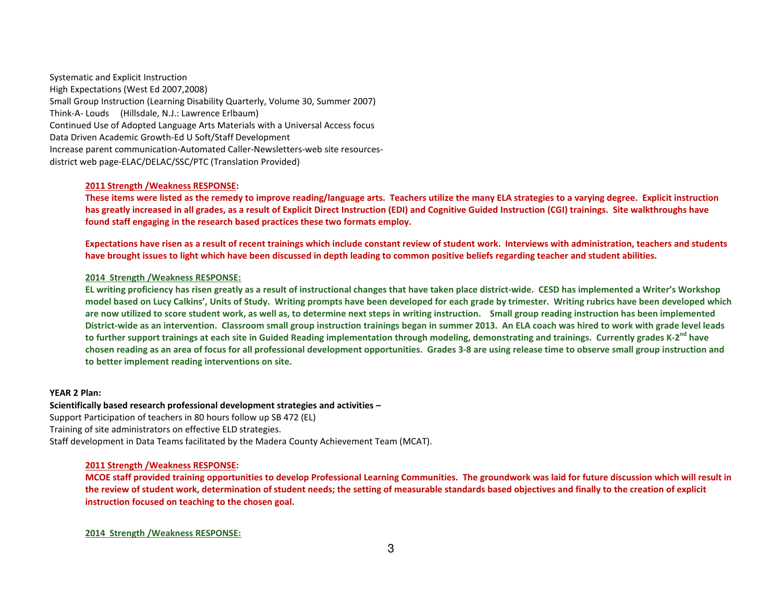Systematic and Explicit Instruction High Expectations (West Ed 2007,2008) Small Group Instruction (Learning Disability Quarterly, Volume 30, Summer 2007) Think-A- Louds (Hillsdale, N.J.: Lawrence Erlbaum) Continued Use of Adopted Language Arts Materials with a Universal Access focus Data Driven Academic Growth-Ed U Soft/Staff Development Increase parent communication-Automated Caller-Newsletters-web site resourcesdistrict web page-ELAC/DELAC/SSC/PTC (Translation Provided)

### **2011 Strength /Weakness RESPONSE:**

**These items were listed as the remedy to improve reading/language arts. Teachers utilize the many ELA strategies to a varying degree. Explicit instruction has greatly increased in all grades, as a result of Explicit Direct Instruction (EDI) and Cognitive Guided Instruction (CGI) trainings. Site walkthroughs have found staff engaging in the research based practices these two formats employ.** 

**Expectations have risen as a result of recent trainings which include constant review of student work. Interviews with administration, teachers and students have brought issues to light which have been discussed in depth leading to common positive beliefs regarding teacher and student abilities.** 

### **2014 Strength /Weakness RESPONSE:**

**EL writing proficiency has risen greatly as a result of instructional changes that have taken place district-wide. CESD has implemented a Writer's Workshop model based on Lucy Calkins', Units of Study. Writing prompts have been developed for each grade by trimester. Writing rubrics have been developed which are now utilized to score student work, as well as, to determine next steps in writing instruction. Small group reading instruction has been implemented District-wide as an intervention. Classroom small group instruction trainings began in summer 2013. An ELA coach was hired to work with grade level leads to further support trainings at each site in Guided Reading implementation through modeling, demonstrating and trainings. Currently grades K-2nd have chosen reading as an area of focus for all professional development opportunities. Grades 3-8 are using release time to observe small group instruction and to better implement reading interventions on site.** 

### **YEAR 2 Plan:**

### **Scientifically based research professional development strategies and activities –**

Support Participation of teachers in 80 hours follow up SB 472 (EL) Training of site administrators on effective ELD strategies. Staff development in Data Teams facilitated by the Madera County Achievement Team (MCAT).

# **2011 Strength /Weakness RESPONSE:**

**MCOE staff provided training opportunities to develop Professional Learning Communities. The groundwork was laid for future discussion which will result in the review of student work, determination of student needs; the setting of measurable standards based objectives and finally to the creation of explicit instruction focused on teaching to the chosen goal.**

### **2014 Strength /Weakness RESPONSE:**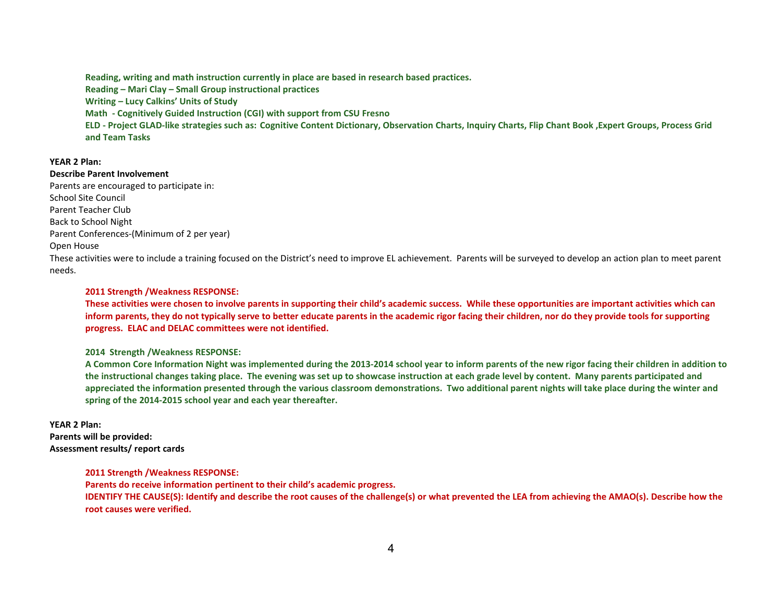**Reading, writing and math instruction currently in place are based in research based practices. Reading – Mari Clay – Small Group instructional practices Writing – Lucy Calkins' Units of Study Math - Cognitively Guided Instruction (CGI) with support from CSU Fresno ELD - Project GLAD-like strategies such as: Cognitive Content Dictionary, Observation Charts, Inquiry Charts, Flip Chant Book ,Expert Groups, Process Grid and Team Tasks** 

### **YEAR 2 Plan:**

**Describe Parent Involvement** 

Parents are encouraged to participate in: School Site Council Parent Teacher Club Back to School Night Parent Conferences-(Minimum of 2 per year) Open House

These activities were to include a training focused on the District's need to improve EL achievement. Parents will be surveyed to develop an action plan to meet parent needs.

### **2011 Strength /Weakness RESPONSE:**

**These activities were chosen to involve parents in supporting their child's academic success. While these opportunities are important activities which can inform parents, they do not typically serve to better educate parents in the academic rigor facing their children, nor do they provide tools for supporting progress. ELAC and DELAC committees were not identified.** 

**2014 Strength /Weakness RESPONSE:** 

**A Common Core Information Night was implemented during the 2013-2014 school year to inform parents of the new rigor facing their children in addition to the instructional changes taking place. The evening was set up to showcase instruction at each grade level by content. Many parents participated and appreciated the information presented through the various classroom demonstrations. Two additional parent nights will take place during the winter and spring of the 2014-2015 school year and each year thereafter.** 

### **YEAR 2 Plan:**

**Parents will be provided: Assessment results/ report cards** 

### **2011 Strength /Weakness RESPONSE:**

**Parents do receive information pertinent to their child's academic progress. IDENTIFY THE CAUSE(S): Identify and describe the root causes of the challenge(s) or what prevented the LEA from achieving the AMAO(s). Describe how the root causes were verified.**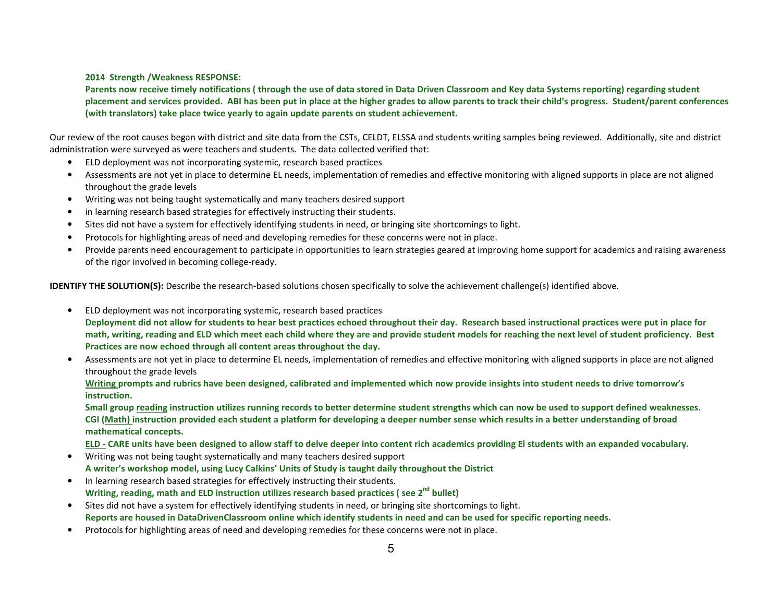### **2014 Strength /Weakness RESPONSE:**

**Parents now receive timely notifications ( through the use of data stored in Data Driven Classroom and Key data Systems reporting) regarding student placement and services provided. ABI has been put in place at the higher grades to allow parents to track their child's progress. Student/parent conferences (with translators) take place twice yearly to again update parents on student achievement.** 

Our review of the root causes began with district and site data from the CSTs, CELDT, ELSSA and students writing samples being reviewed. Additionally, site and district administration were surveyed as were teachers and students. The data collected verified that:

- ELD deployment was not incorporating systemic, research based practices
- Assessments are not yet in place to determine EL needs, implementation of remedies and effective monitoring with aligned supports in place are not aligned throughout the grade levels
- •Writing was not being taught systematically and many teachers desired support
- •in learning research based strategies for effectively instructing their students.
- $\bullet$ Sites did not have a system for effectively identifying students in need, or bringing site shortcomings to light.
- •Protocols for highlighting areas of need and developing remedies for these concerns were not in place.
- $\bullet$  Provide parents need encouragement to participate in opportunities to learn strategies geared at improving home support for academics and raising awareness of the rigor involved in becoming college-ready.

**IDENTIFY THE SOLUTION(S):** Describe the research-based solutions chosen specifically to solve the achievement challenge(s) identified above.

- • ELD deployment was not incorporating systemic, research based practices **Deployment did not allow for students to hear best practices echoed throughout their day. Research based instructional practices were put in place for math, writing, reading and ELD which meet each child where they are and provide student models for reaching the next level of student proficiency. Best Practices are now echoed through all content areas throughout the day.**
- Assessments are not yet in place to determine EL needs, implementation of remedies and effective monitoring with aligned supports in place are not aligned throughout the grade levels

**Writing prompts and rubrics have been designed, calibrated and implemented which now provide insights into student needs to drive tomorrow's instruction.** 

**Small group reading instruction utilizes running records to better determine student strengths which can now be used to support defined weaknesses. CGI (Math) instruction provided each student a platform for developing a deeper number sense which results in a better understanding of broad mathematical concepts.** 

**ELD - CARE units have been designed to allow staff to delve deeper into content rich academics providing El students with an expanded vocabulary.** 

- Writing was not being taught systematically and many teachers desired support **A writer's workshop model, using Lucy Calkins' Units of Study is taught daily throughout the District**
- In learning research based strategies for effectively instructing their students. **Writing, reading, math and ELD instruction utilizes research based practices ( see 2nd bullet)**
- Sites did not have a system for effectively identifying students in need, or bringing site shortcomings to light. **Reports are housed in DataDrivenClassroom online which identify students in need and can be used for specific reporting needs.**
- •Protocols for highlighting areas of need and developing remedies for these concerns were not in place.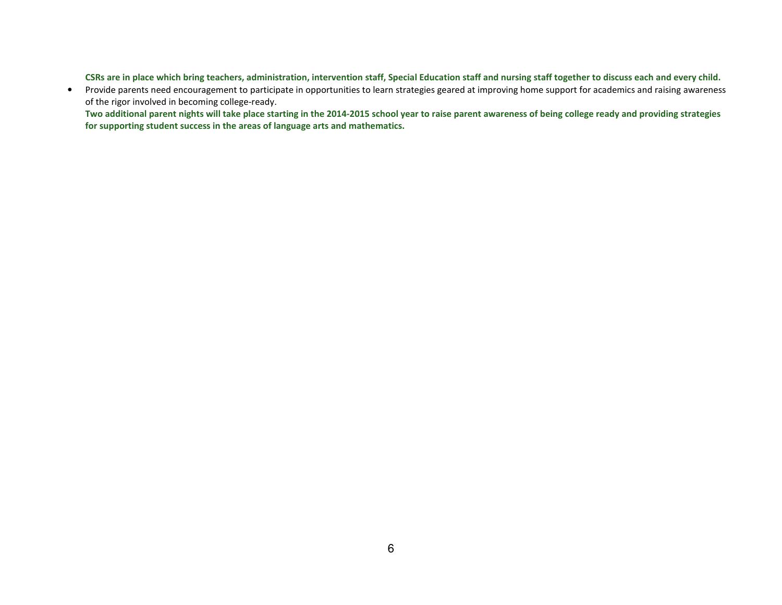**CSRs are in place which bring teachers, administration, intervention staff, Special Education staff and nursing staff together to discuss each and every child.** 

 $\bullet$  Provide parents need encouragement to participate in opportunities to learn strategies geared at improving home support for academics and raising awareness of the rigor involved in becoming college-ready.

 **Two additional parent nights will take place starting in the 2014-2015 school year to raise parent awareness of being college ready and providing strategies for supporting student success in the areas of language arts and mathematics.**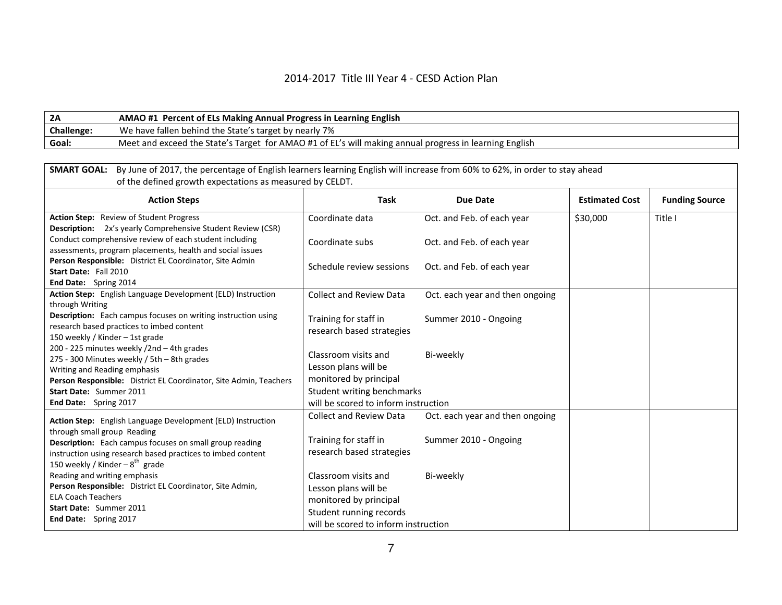## 2014-2017 Title III Year 4 - CESD Action Plan

| <b>2A</b>         | AMAO #1 Percent of ELs Making Annual Progress in Learning English                                      |
|-------------------|--------------------------------------------------------------------------------------------------------|
| <b>Challenge:</b> | We have fallen behind the State's target by nearly 7%                                                  |
| Goal:             | Meet and exceed the State's Target for AMAO #1 of EL's will making annual progress in learning English |

| By June of 2017, the percentage of English learners learning English will increase from 60% to 62%, in order to stay ahead<br><b>SMART GOAL:</b><br>of the defined growth expectations as measured by CELDT.                                                       |                                                                                                                                           |                                 |                       |                       |  |
|--------------------------------------------------------------------------------------------------------------------------------------------------------------------------------------------------------------------------------------------------------------------|-------------------------------------------------------------------------------------------------------------------------------------------|---------------------------------|-----------------------|-----------------------|--|
| <b>Action Steps</b>                                                                                                                                                                                                                                                | <b>Task</b>                                                                                                                               | <b>Due Date</b>                 | <b>Estimated Cost</b> | <b>Funding Source</b> |  |
| Action Step: Review of Student Progress                                                                                                                                                                                                                            | Coordinate data                                                                                                                           | Oct. and Feb. of each year      | \$30,000              | Title I               |  |
| <b>Description:</b> 2x's yearly Comprehensive Student Review (CSR)<br>Conduct comprehensive review of each student including<br>assessments, program placements, health and social issues                                                                          | Coordinate subs                                                                                                                           | Oct. and Feb. of each year      |                       |                       |  |
| Person Responsible: District EL Coordinator, Site Admin<br>Start Date: Fall 2010<br>End Date: Spring 2014                                                                                                                                                          | Schedule review sessions                                                                                                                  | Oct. and Feb. of each year      |                       |                       |  |
| Action Step: English Language Development (ELD) Instruction                                                                                                                                                                                                        | <b>Collect and Review Data</b>                                                                                                            | Oct. each year and then ongoing |                       |                       |  |
| through Writing<br><b>Description:</b> Each campus focuses on writing instruction using<br>research based practices to imbed content<br>150 weekly / Kinder - 1st grade                                                                                            | Training for staff in<br>research based strategies                                                                                        | Summer 2010 - Ongoing           |                       |                       |  |
| 200 - 225 minutes weekly /2nd - 4th grades<br>275 - 300 Minutes weekly / 5th - 8th grades<br>Writing and Reading emphasis<br>Person Responsible: District EL Coordinator, Site Admin, Teachers<br>Start Date: Summer 2011                                          | Classroom visits and<br>Lesson plans will be<br>monitored by principal<br>Student writing benchmarks                                      | Bi-weekly                       |                       |                       |  |
| End Date: Spring 2017                                                                                                                                                                                                                                              | will be scored to inform instruction<br><b>Collect and Review Data</b>                                                                    | Oct. each year and then ongoing |                       |                       |  |
| Action Step: English Language Development (ELD) Instruction<br>through small group Reading<br><b>Description:</b> Each campus focuses on small group reading<br>instruction using research based practices to imbed content<br>150 weekly / Kinder $-8^{th}$ grade | Training for staff in<br>research based strategies                                                                                        | Summer 2010 - Ongoing           |                       |                       |  |
| Reading and writing emphasis<br>Person Responsible: District EL Coordinator, Site Admin,<br><b>ELA Coach Teachers</b><br>Start Date: Summer 2011<br>End Date: Spring 2017                                                                                          | Classroom visits and<br>Lesson plans will be<br>monitored by principal<br>Student running records<br>will be scored to inform instruction | Bi-weekly                       |                       |                       |  |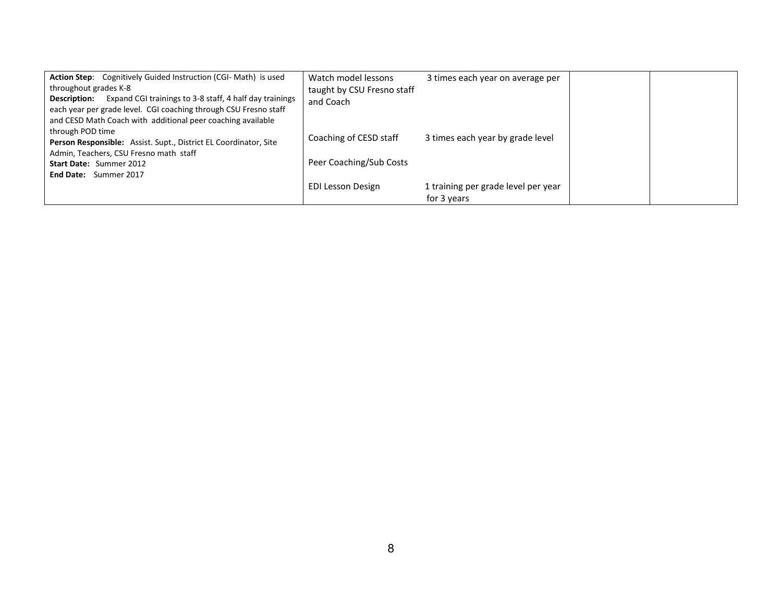| <b>Action Step:</b> Cognitively Guided Instruction (CGI-Math) is used       | Watch model lessons        | 3 times each year on average per    |  |
|-----------------------------------------------------------------------------|----------------------------|-------------------------------------|--|
| throughout grades K-8                                                       | taught by CSU Fresno staff |                                     |  |
| <b>Description:</b> Expand CGI trainings to 3-8 staff, 4 half day trainings | and Coach                  |                                     |  |
| each year per grade level. CGI coaching through CSU Fresno staff            |                            |                                     |  |
| and CESD Math Coach with additional peer coaching available                 |                            |                                     |  |
| through POD time                                                            | Coaching of CESD staff     | 3 times each year by grade level    |  |
| Person Responsible: Assist. Supt., District EL Coordinator, Site            |                            |                                     |  |
| Admin, Teachers, CSU Fresno math staff                                      |                            |                                     |  |
| <b>Start Date: Summer 2012</b>                                              | Peer Coaching/Sub Costs    |                                     |  |
| <b>End Date:</b> Summer 2017                                                |                            |                                     |  |
|                                                                             | <b>EDI Lesson Design</b>   | 1 training per grade level per year |  |
|                                                                             |                            | for 3 years                         |  |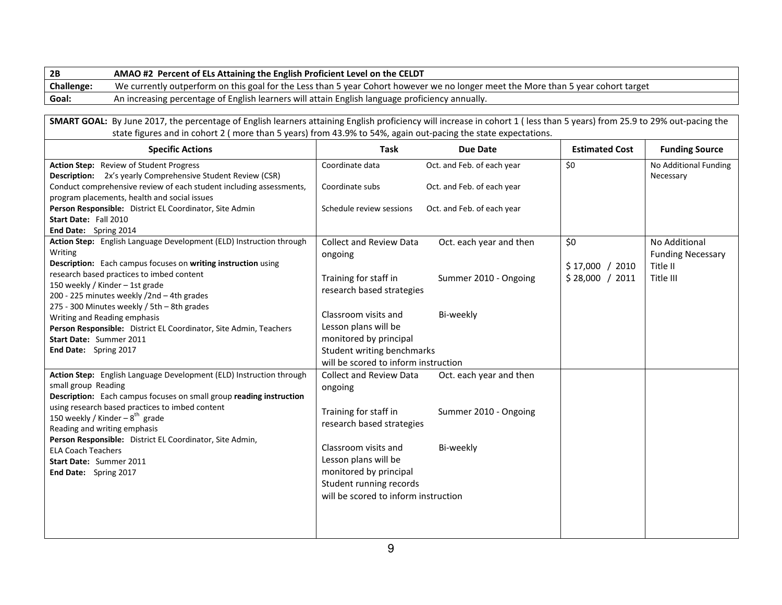| 2В         | AMAO #2 Percent of ELs Attaining the English Proficient Level on the CELDT                                                        |
|------------|-----------------------------------------------------------------------------------------------------------------------------------|
| Challenge: | We currently outperform on this goal for the Less than 5 year Cohort however we no longer meet the More than 5 year cohort target |
| Goal:      | An increasing percentage of English learners will attain English language proficiency annually.                                   |
|            |                                                                                                                                   |

**SMART GOAL:** By June 2017, the percentage of English learners attaining English proficiency will increase in cohort 1 ( less than 5 years) from 25.9 to 29% out-pacing the state figures and in cohort 2 ( more than 5 years) from 43.9% to 54%, again out-pacing the state expectations.

| <b>Specific Actions</b>                                                                                                                                           | <b>Task</b>                                                                               | <b>Due Date</b>            | <b>Estimated Cost</b> | <b>Funding Source</b>                |
|-------------------------------------------------------------------------------------------------------------------------------------------------------------------|-------------------------------------------------------------------------------------------|----------------------------|-----------------------|--------------------------------------|
| Action Step: Review of Student Progress<br><b>Description:</b> 2x's yearly Comprehensive Student Review (CSR)                                                     | Coordinate data                                                                           | Oct. and Feb. of each year | \$0                   | No Additional Funding<br>Necessary   |
| Conduct comprehensive review of each student including assessments,<br>program placements, health and social issues                                               | Coordinate subs                                                                           | Oct. and Feb. of each year |                       |                                      |
| Person Responsible: District EL Coordinator, Site Admin<br>Start Date: Fall 2010                                                                                  | Schedule review sessions                                                                  | Oct. and Feb. of each year |                       |                                      |
| End Date: Spring 2014                                                                                                                                             |                                                                                           |                            |                       |                                      |
| Action Step: English Language Development (ELD) Instruction through                                                                                               | <b>Collect and Review Data</b>                                                            | Oct. each year and then    | \$0                   | No Additional                        |
| Writing<br>Description: Each campus focuses on writing instruction using<br>research based practices to imbed content                                             | ongoing                                                                                   |                            | \$17,000 / 2010       | <b>Funding Necessary</b><br>Title II |
| 150 weekly / Kinder - 1st grade<br>200 - 225 minutes weekly /2nd - 4th grades                                                                                     | Training for staff in<br>research based strategies                                        | Summer 2010 - Ongoing      | \$28,000 / 2011       | Title III                            |
| 275 - 300 Minutes weekly / 5th - 8th grades<br>Writing and Reading emphasis<br>Person Responsible: District EL Coordinator, Site Admin, Teachers                  | Classroom visits and<br>Lesson plans will be                                              | Bi-weekly                  |                       |                                      |
| Start Date: Summer 2011<br>End Date: Spring 2017                                                                                                                  | monitored by principal<br>Student writing benchmarks                                      |                            |                       |                                      |
|                                                                                                                                                                   | will be scored to inform instruction                                                      |                            |                       |                                      |
| Action Step: English Language Development (ELD) Instruction through<br>small group Reading<br>Description: Each campus focuses on small group reading instruction | <b>Collect and Review Data</b><br>ongoing                                                 | Oct. each year and then    |                       |                                      |
| using research based practices to imbed content<br>150 weekly / Kinder – $8^{th}$ grade<br>Reading and writing emphasis                                           | Training for staff in<br>research based strategies                                        | Summer 2010 - Ongoing      |                       |                                      |
| Person Responsible: District EL Coordinator, Site Admin,<br><b>ELA Coach Teachers</b><br>Start Date: Summer 2011                                                  | Classroom visits and<br>Lesson plans will be                                              | Bi-weekly                  |                       |                                      |
| End Date: Spring 2017                                                                                                                                             | monitored by principal<br>Student running records<br>will be scored to inform instruction |                            |                       |                                      |
|                                                                                                                                                                   |                                                                                           |                            |                       |                                      |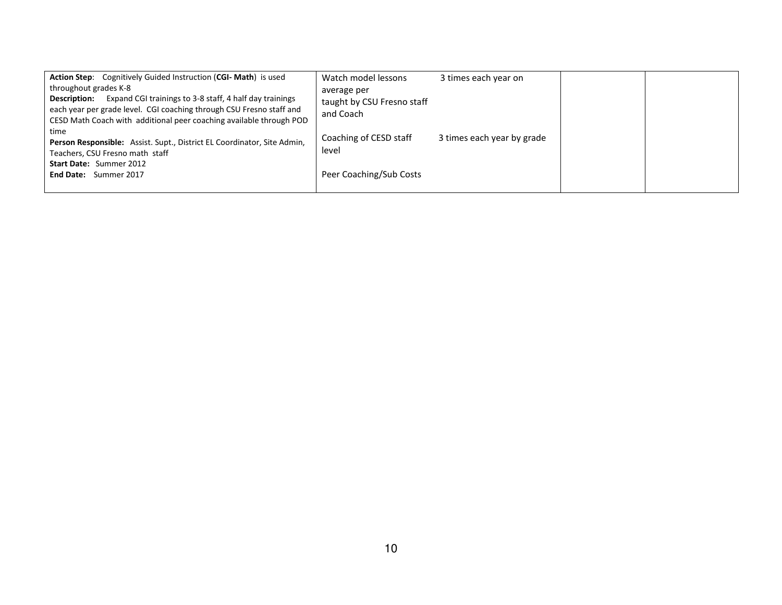| <b>Action Step:</b> Cognitively Guided Instruction (CGI-Math) is used       | Watch model lessons        | 3 times each year on       |  |
|-----------------------------------------------------------------------------|----------------------------|----------------------------|--|
| throughout grades K-8                                                       | average per                |                            |  |
| <b>Description:</b> Expand CGI trainings to 3-8 staff, 4 half day trainings | taught by CSU Fresno staff |                            |  |
| each year per grade level. CGI coaching through CSU Fresno staff and        | and Coach                  |                            |  |
| CESD Math Coach with additional peer coaching available through POD         |                            |                            |  |
| time                                                                        |                            |                            |  |
| Person Responsible: Assist. Supt., District EL Coordinator, Site Admin,     | Coaching of CESD staff     | 3 times each year by grade |  |
| Teachers, CSU Fresno math staff                                             | level                      |                            |  |
| Start Date: Summer 2012                                                     |                            |                            |  |
| End Date: Summer 2017                                                       | Peer Coaching/Sub Costs    |                            |  |
|                                                                             |                            |                            |  |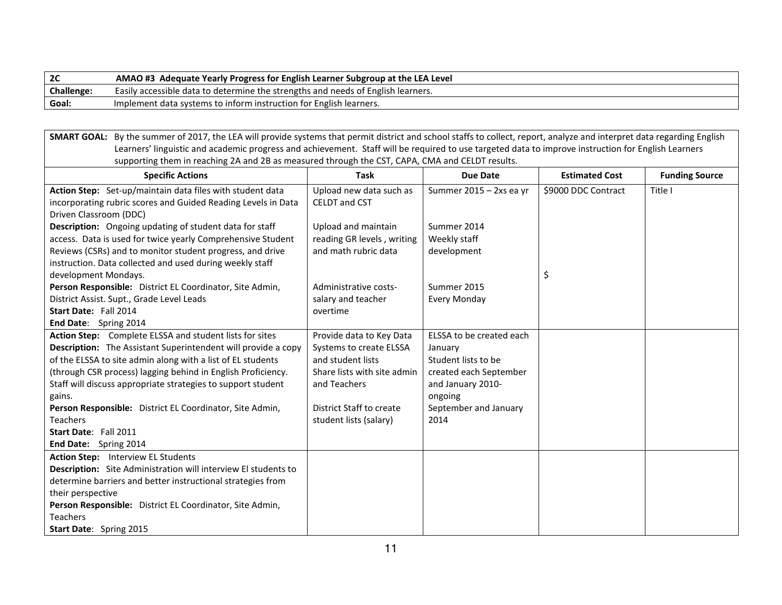| 2C                | AMAO #3 Adequate Yearly Progress for English Learner Subgroup at the LEA Level   |
|-------------------|----------------------------------------------------------------------------------|
| <b>Challenge:</b> | Easily accessible data to determine the strengths and needs of English learners. |
| Goal:             | Implement data systems to inform instruction for English learners.               |

**SMART GOAL:** By the summer of 2017, the LEA will provide systems that permit district and school staffs to collect, report, analyze and interpret data regarding English Learners' linguistic and academic progress and achievement. Staff will be required to use targeted data to improve instruction for English Learnerssupporting them in reaching 2A and 2B as measured through the CST, CAPA, CMA and CELDT results.

| <b>Specific Actions</b>                                              | <b>Task</b>                 | Due Date                 | <b>Estimated Cost</b> | <b>Funding Source</b> |
|----------------------------------------------------------------------|-----------------------------|--------------------------|-----------------------|-----------------------|
| Action Step: Set-up/maintain data files with student data            | Upload new data such as     | Summer 2015 - 2xs ea yr  | \$9000 DDC Contract   | Title I               |
| incorporating rubric scores and Guided Reading Levels in Data        | <b>CELDT</b> and CST        |                          |                       |                       |
| Driven Classroom (DDC)                                               |                             |                          |                       |                       |
| Description: Ongoing updating of student data for staff              | Upload and maintain         | Summer 2014              |                       |                       |
| access. Data is used for twice yearly Comprehensive Student          | reading GR levels, writing  | Weekly staff             |                       |                       |
| Reviews (CSRs) and to monitor student progress, and drive            | and math rubric data        | development              |                       |                       |
| instruction. Data collected and used during weekly staff             |                             |                          |                       |                       |
| development Mondays.                                                 |                             |                          | \$                    |                       |
| Person Responsible: District EL Coordinator, Site Admin,             | Administrative costs-       | Summer 2015              |                       |                       |
| District Assist. Supt., Grade Level Leads                            | salary and teacher          | Every Monday             |                       |                       |
| Start Date: Fall 2014                                                | overtime                    |                          |                       |                       |
| End Date: Spring 2014                                                |                             |                          |                       |                       |
| Action Step: Complete ELSSA and student lists for sites              | Provide data to Key Data    | ELSSA to be created each |                       |                       |
| <b>Description:</b> The Assistant Superintendent will provide a copy | Systems to create ELSSA     | January                  |                       |                       |
| of the ELSSA to site admin along with a list of EL students          | and student lists           | Student lists to be      |                       |                       |
| (through CSR process) lagging behind in English Proficiency.         | Share lists with site admin | created each September   |                       |                       |
| Staff will discuss appropriate strategies to support student         | and Teachers                | and January 2010-        |                       |                       |
| gains.                                                               |                             | ongoing                  |                       |                       |
| Person Responsible: District EL Coordinator, Site Admin,             | District Staff to create    | September and January    |                       |                       |
| <b>Teachers</b>                                                      | student lists (salary)      | 2014                     |                       |                       |
| Start Date: Fall 2011                                                |                             |                          |                       |                       |
| End Date: Spring 2014                                                |                             |                          |                       |                       |
| <b>Action Step:</b> Interview EL Students                            |                             |                          |                       |                       |
| Description: Site Administration will interview El students to       |                             |                          |                       |                       |
| determine barriers and better instructional strategies from          |                             |                          |                       |                       |
| their perspective                                                    |                             |                          |                       |                       |
| Person Responsible: District EL Coordinator, Site Admin,             |                             |                          |                       |                       |
| <b>Teachers</b>                                                      |                             |                          |                       |                       |
| Start Date: Spring 2015                                              |                             |                          |                       |                       |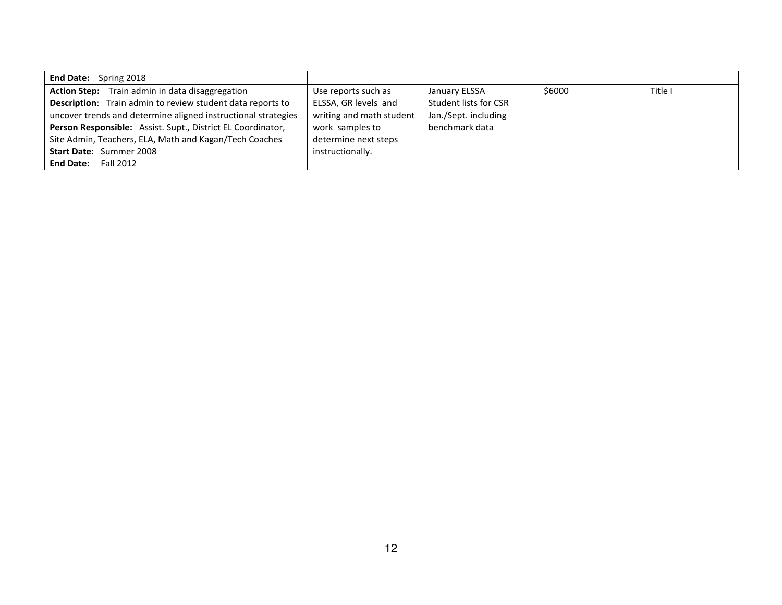| <b>End Date:</b> Spring 2018                                      |                          |                       |        |         |
|-------------------------------------------------------------------|--------------------------|-----------------------|--------|---------|
| Action Step: Train admin in data disaggregation                   | Use reports such as      | January ELSSA         | \$6000 | Title I |
| <b>Description:</b> Train admin to review student data reports to | ELSSA, GR levels and     | Student lists for CSR |        |         |
| uncover trends and determine aligned instructional strategies     | writing and math student | Jan./Sept. including  |        |         |
| Person Responsible: Assist. Supt., District EL Coordinator,       | work samples to          | benchmark data        |        |         |
| Site Admin, Teachers, ELA, Math and Kagan/Tech Coaches            | determine next steps     |                       |        |         |
| <b>Start Date: Summer 2008</b>                                    | instructionally.         |                       |        |         |
| <b>End Date:</b><br>Fall 2012                                     |                          |                       |        |         |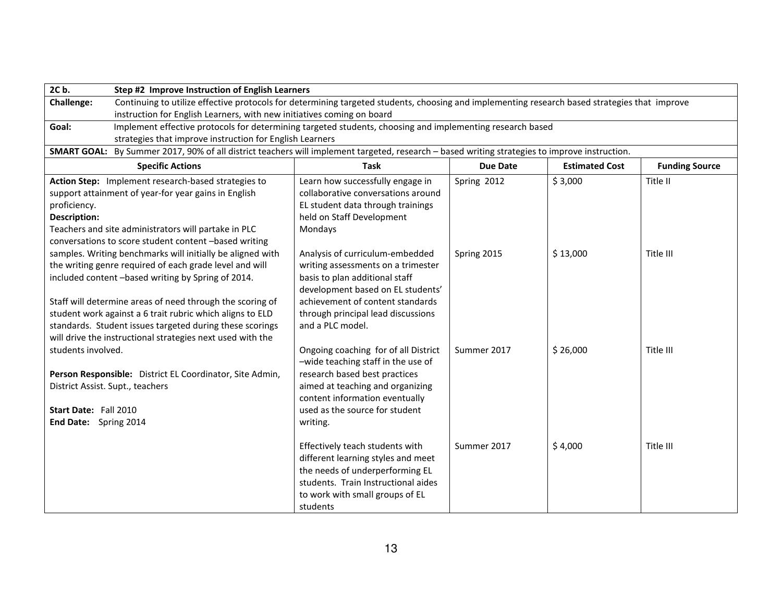| Challenge:<br>Continuing to utilize effective protocols for determining targeted students, choosing and implementing research based strategies that improve<br>instruction for English Learners, with new initiatives coming on board<br>Implement effective protocols for determining targeted students, choosing and implementing research based<br>Goal:<br>strategies that improve instruction for English Learners |
|-------------------------------------------------------------------------------------------------------------------------------------------------------------------------------------------------------------------------------------------------------------------------------------------------------------------------------------------------------------------------------------------------------------------------|
|                                                                                                                                                                                                                                                                                                                                                                                                                         |
|                                                                                                                                                                                                                                                                                                                                                                                                                         |
|                                                                                                                                                                                                                                                                                                                                                                                                                         |
|                                                                                                                                                                                                                                                                                                                                                                                                                         |
| SMART GOAL: By Summer 2017, 90% of all district teachers will implement targeted, research - based writing strategies to improve instruction.                                                                                                                                                                                                                                                                           |
| <b>Specific Actions</b><br><b>Task</b><br>Due Date<br><b>Estimated Cost</b><br><b>Funding Source</b>                                                                                                                                                                                                                                                                                                                    |
| \$3,000<br>Action Step: Implement research-based strategies to<br>Learn how successfully engage in<br>Spring 2012<br>Title II                                                                                                                                                                                                                                                                                           |
| support attainment of year-for year gains in English<br>collaborative conversations around                                                                                                                                                                                                                                                                                                                              |
| EL student data through trainings<br>proficiency.                                                                                                                                                                                                                                                                                                                                                                       |
| Description:<br>held on Staff Development                                                                                                                                                                                                                                                                                                                                                                               |
| Teachers and site administrators will partake in PLC<br>Mondays                                                                                                                                                                                                                                                                                                                                                         |
| conversations to score student content -based writing                                                                                                                                                                                                                                                                                                                                                                   |
| samples. Writing benchmarks will initially be aligned with<br>Analysis of curriculum-embedded<br>Spring 2015<br>\$13,000<br>Title III                                                                                                                                                                                                                                                                                   |
| the writing genre required of each grade level and will<br>writing assessments on a trimester                                                                                                                                                                                                                                                                                                                           |
| included content -based writing by Spring of 2014.<br>basis to plan additional staff                                                                                                                                                                                                                                                                                                                                    |
| development based on EL students'                                                                                                                                                                                                                                                                                                                                                                                       |
| Staff will determine areas of need through the scoring of<br>achievement of content standards                                                                                                                                                                                                                                                                                                                           |
| student work against a 6 trait rubric which aligns to ELD<br>through principal lead discussions                                                                                                                                                                                                                                                                                                                         |
| standards. Student issues targeted during these scorings<br>and a PLC model.                                                                                                                                                                                                                                                                                                                                            |
| will drive the instructional strategies next used with the                                                                                                                                                                                                                                                                                                                                                              |
| students involved.<br>Ongoing coaching for of all District<br>Summer 2017<br>\$26,000<br>Title III                                                                                                                                                                                                                                                                                                                      |
| -wide teaching staff in the use of                                                                                                                                                                                                                                                                                                                                                                                      |
| research based best practices<br>Person Responsible: District EL Coordinator, Site Admin,                                                                                                                                                                                                                                                                                                                               |
| aimed at teaching and organizing<br>District Assist. Supt., teachers                                                                                                                                                                                                                                                                                                                                                    |
| content information eventually<br>used as the source for student<br>Start Date: Fall 2010                                                                                                                                                                                                                                                                                                                               |
|                                                                                                                                                                                                                                                                                                                                                                                                                         |
| End Date: Spring 2014<br>writing.                                                                                                                                                                                                                                                                                                                                                                                       |
| Summer 2017<br>\$4,000<br>Title III<br>Effectively teach students with                                                                                                                                                                                                                                                                                                                                                  |
| different learning styles and meet                                                                                                                                                                                                                                                                                                                                                                                      |
| the needs of underperforming EL                                                                                                                                                                                                                                                                                                                                                                                         |
| students. Train Instructional aides                                                                                                                                                                                                                                                                                                                                                                                     |
| to work with small groups of EL                                                                                                                                                                                                                                                                                                                                                                                         |
| students                                                                                                                                                                                                                                                                                                                                                                                                                |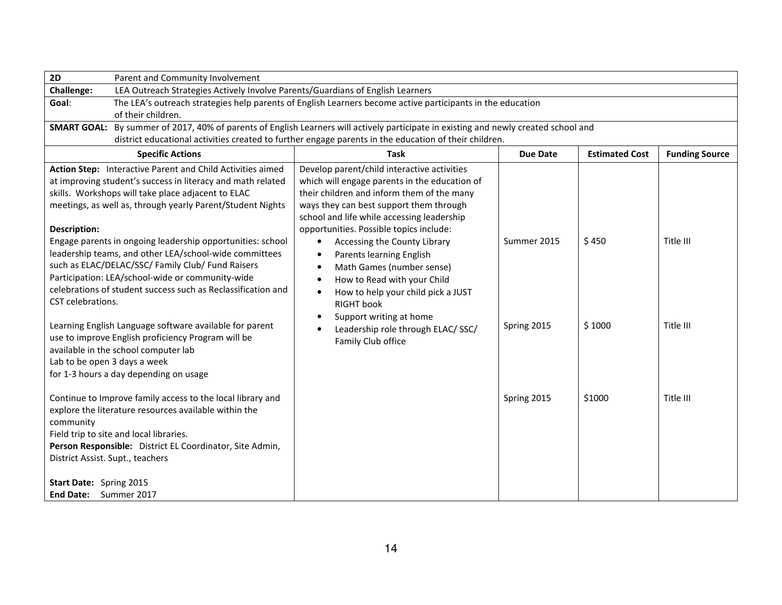| 2D<br>Parent and Community Involvement                                                                                               |                                                                                                            |             |                       |                       |  |
|--------------------------------------------------------------------------------------------------------------------------------------|------------------------------------------------------------------------------------------------------------|-------------|-----------------------|-----------------------|--|
| Challenge:<br>LEA Outreach Strategies Actively Involve Parents/Guardians of English Learners                                         |                                                                                                            |             |                       |                       |  |
| Goal:                                                                                                                                | The LEA's outreach strategies help parents of English Learners become active participants in the education |             |                       |                       |  |
| of their children.                                                                                                                   |                                                                                                            |             |                       |                       |  |
| SMART GOAL: By summer of 2017, 40% of parents of English Learners will actively participate in existing and newly created school and |                                                                                                            |             |                       |                       |  |
|                                                                                                                                      | district educational activities created to further engage parents in the education of their children.      |             |                       |                       |  |
| <b>Specific Actions</b>                                                                                                              | <b>Task</b>                                                                                                | Due Date    | <b>Estimated Cost</b> | <b>Funding Source</b> |  |
| Action Step: Interactive Parent and Child Activities aimed                                                                           | Develop parent/child interactive activities                                                                |             |                       |                       |  |
| at improving student's success in literacy and math related                                                                          | which will engage parents in the education of                                                              |             |                       |                       |  |
| skills. Workshops will take place adjacent to ELAC                                                                                   | their children and inform them of the many                                                                 |             |                       |                       |  |
| meetings, as well as, through yearly Parent/Student Nights                                                                           | ways they can best support them through                                                                    |             |                       |                       |  |
|                                                                                                                                      | school and life while accessing leadership                                                                 |             |                       |                       |  |
| <b>Description:</b>                                                                                                                  | opportunities. Possible topics include:                                                                    |             |                       |                       |  |
| Engage parents in ongoing leadership opportunities: school                                                                           | Accessing the County Library<br>٠                                                                          | Summer 2015 | \$450                 | Title III             |  |
| leadership teams, and other LEA/school-wide committees                                                                               | Parents learning English<br>$\bullet$                                                                      |             |                       |                       |  |
| such as ELAC/DELAC/SSC/ Family Club/ Fund Raisers                                                                                    | Math Games (number sense)<br>$\bullet$                                                                     |             |                       |                       |  |
| Participation: LEA/school-wide or community-wide                                                                                     | How to Read with your Child                                                                                |             |                       |                       |  |
| celebrations of student success such as Reclassification and                                                                         | How to help your child pick a JUST                                                                         |             |                       |                       |  |
| CST celebrations.                                                                                                                    | <b>RIGHT</b> book                                                                                          |             |                       |                       |  |
|                                                                                                                                      | Support writing at home                                                                                    |             |                       |                       |  |
| Learning English Language software available for parent                                                                              | Leadership role through ELAC/SSC/                                                                          | Spring 2015 | \$1000                | Title III             |  |
| use to improve English proficiency Program will be                                                                                   | Family Club office                                                                                         |             |                       |                       |  |
| available in the school computer lab                                                                                                 |                                                                                                            |             |                       |                       |  |
| Lab to be open 3 days a week                                                                                                         |                                                                                                            |             |                       |                       |  |
| for 1-3 hours a day depending on usage                                                                                               |                                                                                                            |             |                       |                       |  |
| Continue to Improve family access to the local library and                                                                           |                                                                                                            | Spring 2015 | \$1000                | Title III             |  |
| explore the literature resources available within the                                                                                |                                                                                                            |             |                       |                       |  |
| community                                                                                                                            |                                                                                                            |             |                       |                       |  |
| Field trip to site and local libraries.                                                                                              |                                                                                                            |             |                       |                       |  |
| Person Responsible: District EL Coordinator, Site Admin,                                                                             |                                                                                                            |             |                       |                       |  |
| District Assist. Supt., teachers                                                                                                     |                                                                                                            |             |                       |                       |  |
|                                                                                                                                      |                                                                                                            |             |                       |                       |  |
| Start Date: Spring 2015                                                                                                              |                                                                                                            |             |                       |                       |  |
| End Date: Summer 2017                                                                                                                |                                                                                                            |             |                       |                       |  |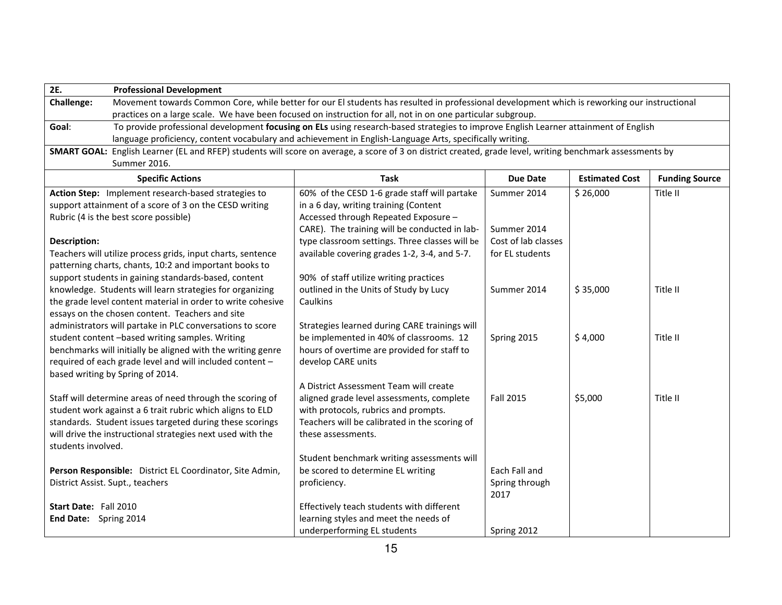| 2E.                   | <b>Professional Development</b>                                                                                                              |                                                                                                                                                           |                     |                       |                       |  |
|-----------------------|----------------------------------------------------------------------------------------------------------------------------------------------|-----------------------------------------------------------------------------------------------------------------------------------------------------------|---------------------|-----------------------|-----------------------|--|
| Challenge:            | Movement towards Common Core, while better for our El students has resulted in professional development which is reworking our instructional |                                                                                                                                                           |                     |                       |                       |  |
|                       | practices on a large scale. We have been focused on instruction for all, not in on one particular subgroup.                                  |                                                                                                                                                           |                     |                       |                       |  |
| Goal:                 | To provide professional development focusing on ELs using research-based strategies to improve English Learner attainment of English         |                                                                                                                                                           |                     |                       |                       |  |
|                       |                                                                                                                                              | language proficiency, content vocabulary and achievement in English-Language Arts, specifically writing.                                                  |                     |                       |                       |  |
|                       |                                                                                                                                              | SMART GOAL: English Learner (EL and RFEP) students will score on average, a score of 3 on district created, grade level, writing benchmark assessments by |                     |                       |                       |  |
|                       | Summer 2016.                                                                                                                                 |                                                                                                                                                           |                     |                       |                       |  |
|                       | <b>Specific Actions</b>                                                                                                                      | <b>Task</b>                                                                                                                                               | <b>Due Date</b>     | <b>Estimated Cost</b> | <b>Funding Source</b> |  |
|                       | Action Step: Implement research-based strategies to                                                                                          | 60% of the CESD 1-6 grade staff will partake                                                                                                              | Summer 2014         | \$26,000              | Title II              |  |
|                       | support attainment of a score of 3 on the CESD writing                                                                                       | in a 6 day, writing training (Content                                                                                                                     |                     |                       |                       |  |
|                       | Rubric (4 is the best score possible)                                                                                                        | Accessed through Repeated Exposure -                                                                                                                      |                     |                       |                       |  |
|                       |                                                                                                                                              | CARE). The training will be conducted in lab-                                                                                                             | Summer 2014         |                       |                       |  |
| <b>Description:</b>   |                                                                                                                                              | type classroom settings. Three classes will be                                                                                                            | Cost of lab classes |                       |                       |  |
|                       | Teachers will utilize process grids, input charts, sentence                                                                                  | available covering grades 1-2, 3-4, and 5-7.                                                                                                              | for EL students     |                       |                       |  |
|                       | patterning charts, chants, 10:2 and important books to                                                                                       |                                                                                                                                                           |                     |                       |                       |  |
|                       | support students in gaining standards-based, content                                                                                         | 90% of staff utilize writing practices                                                                                                                    |                     |                       |                       |  |
|                       | knowledge. Students will learn strategies for organizing                                                                                     | outlined in the Units of Study by Lucy                                                                                                                    | Summer 2014         | \$35,000              | Title II              |  |
|                       | the grade level content material in order to write cohesive                                                                                  | Caulkins                                                                                                                                                  |                     |                       |                       |  |
|                       | essays on the chosen content. Teachers and site<br>administrators will partake in PLC conversations to score                                 | Strategies learned during CARE trainings will                                                                                                             |                     |                       |                       |  |
|                       | student content -based writing samples. Writing                                                                                              | be implemented in 40% of classrooms. 12                                                                                                                   | Spring 2015         | \$4,000               | Title II              |  |
|                       | benchmarks will initially be aligned with the writing genre                                                                                  | hours of overtime are provided for staff to                                                                                                               |                     |                       |                       |  |
|                       | required of each grade level and will included content -                                                                                     | develop CARE units                                                                                                                                        |                     |                       |                       |  |
|                       | based writing by Spring of 2014.                                                                                                             |                                                                                                                                                           |                     |                       |                       |  |
|                       |                                                                                                                                              | A District Assessment Team will create                                                                                                                    |                     |                       |                       |  |
|                       | Staff will determine areas of need through the scoring of                                                                                    | aligned grade level assessments, complete                                                                                                                 | <b>Fall 2015</b>    | \$5,000               | Title II              |  |
|                       | student work against a 6 trait rubric which aligns to ELD                                                                                    | with protocols, rubrics and prompts.                                                                                                                      |                     |                       |                       |  |
|                       | standards. Student issues targeted during these scorings                                                                                     | Teachers will be calibrated in the scoring of                                                                                                             |                     |                       |                       |  |
|                       | will drive the instructional strategies next used with the                                                                                   | these assessments.                                                                                                                                        |                     |                       |                       |  |
| students involved.    |                                                                                                                                              |                                                                                                                                                           |                     |                       |                       |  |
|                       |                                                                                                                                              | Student benchmark writing assessments will                                                                                                                |                     |                       |                       |  |
|                       | Person Responsible: District EL Coordinator, Site Admin,                                                                                     | be scored to determine EL writing                                                                                                                         | Each Fall and       |                       |                       |  |
|                       | District Assist. Supt., teachers                                                                                                             | proficiency.                                                                                                                                              | Spring through      |                       |                       |  |
|                       |                                                                                                                                              |                                                                                                                                                           | 2017                |                       |                       |  |
| Start Date: Fall 2010 |                                                                                                                                              | Effectively teach students with different                                                                                                                 |                     |                       |                       |  |
| End Date: Spring 2014 |                                                                                                                                              | learning styles and meet the needs of                                                                                                                     |                     |                       |                       |  |
|                       |                                                                                                                                              | underperforming EL students                                                                                                                               | Spring 2012         |                       |                       |  |